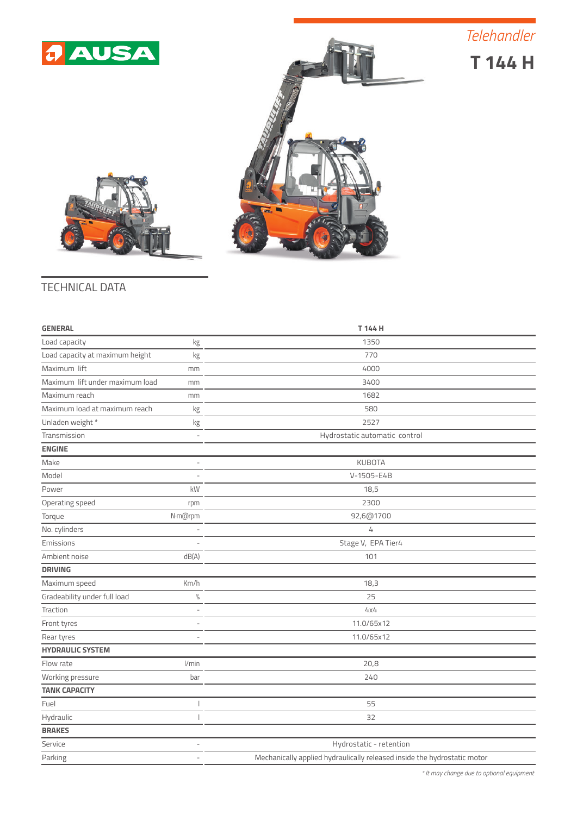*Telehandler*



**T 144 H**





## TECHNICAL DATA

| <b>GENERAL</b>                        | T 144 H                                                                  |
|---------------------------------------|--------------------------------------------------------------------------|
| Load capacity<br>kg                   | 1350                                                                     |
| Load capacity at maximum height<br>kg | 770                                                                      |
| Maximum lift<br>mm                    | 4000                                                                     |
| Maximum lift under maximum load<br>mm | 3400                                                                     |
| Maximum reach<br>mm                   | 1682                                                                     |
| Maximum load at maximum reach<br>kg   | 580                                                                      |
| Unladen weight *<br>kg                | 2527                                                                     |
| Transmission                          | Hydrostatic automatic control                                            |
| <b>ENGINE</b>                         |                                                                          |
| Make                                  | <b>KUBOTA</b>                                                            |
| Model                                 | V-1505-E4B                                                               |
| Power<br>kW                           | 18,5                                                                     |
| Operating speed<br>rpm                | 2300                                                                     |
| Torque<br>N·m@rpm                     | 92,6@1700                                                                |
| No. cylinders                         | 4                                                                        |
| Emissions                             | Stage V, EPA Tier4                                                       |
| Ambient noise<br>dB(A)                | 101                                                                      |
| <b>DRIVING</b>                        |                                                                          |
| Maximum speed<br>Km/h                 | 18,3                                                                     |
| Gradeability under full load<br>$\%$  | 25                                                                       |
| Traction                              | 4x4                                                                      |
| Front tyres                           | 11.0/65x12                                                               |
| Rear tyres                            | 11.0/65x12                                                               |
| <b>HYDRAULIC SYSTEM</b>               |                                                                          |
| 1/min<br>Flow rate                    | 20,8                                                                     |
| Working pressure<br>bar               | 240                                                                      |
| <b>TANK CAPACITY</b>                  |                                                                          |
| Fuel                                  | 55                                                                       |
| Hydraulic                             | 32                                                                       |
| <b>BRAKES</b>                         |                                                                          |
| Service                               | Hydrostatic - retention                                                  |
| Parking<br>$\overline{a}$             | Mechanically applied hydraulically released inside the hydrostatic motor |

*\* It may change due to optional equipment*